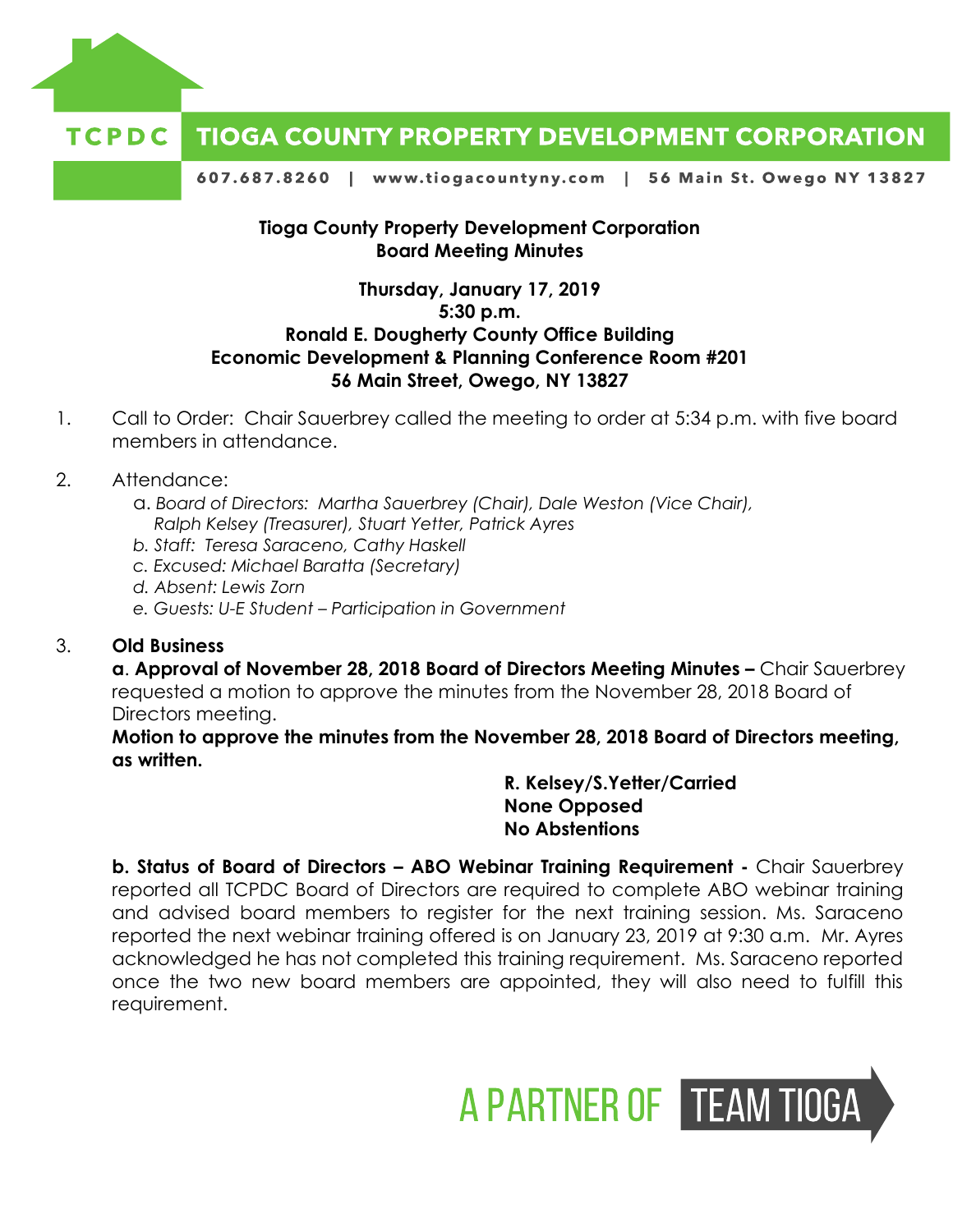

#### TCPDC **TIOGA COUNTY PROPERTY DEVELOPMENT CORPORATION**

607.687.8260 | www.tiogacountyny.com | 56 Main St. Owego NY 13827

# **Tioga County Property Development Corporation Board Meeting Minutes**

# **Thursday, January 17, 2019 5:30 p.m. Ronald E. Dougherty County Office Building Economic Development & Planning Conference Room #201 56 Main Street, Owego, NY 13827**

- 1. Call to Order: Chair Sauerbrey called the meeting to order at 5:34 p.m. with five board members in attendance.
- 2. Attendance:
	- a. *Board of Directors: Martha Sauerbrey (Chair), Dale Weston (Vice Chair), Ralph Kelsey (Treasurer), Stuart Yetter, Patrick Ayres*
	- *b. Staff: Teresa Saraceno, Cathy Haskell*
	- *c. Excused: Michael Baratta (Secretary)*
	- *d. Absent: Lewis Zorn*
	- *e. Guests: U-E Student – Participation in Government*

### 3. **Old Business**

**a. Approval of November 28, 2018 Board of Directors Meeting Minutes – Chair Sauerbrey** requested a motion to approve the minutes from the November 28, 2018 Board of Directors meeting.

**Motion to approve the minutes from the November 28, 2018 Board of Directors meeting, as written.** 

> **R. Kelsey/S.Yetter/Carried None Opposed No Abstentions**

**b. Status of Board of Directors – ABO Webinar Training Requirement -** Chair Sauerbrey reported all TCPDC Board of Directors are required to complete ABO webinar training and advised board members to register for the next training session. Ms. Saraceno reported the next webinar training offered is on January 23, 2019 at 9:30 a.m. Mr. Ayres acknowledged he has not completed this training requirement. Ms. Saraceno reported once the two new board members are appointed, they will also need to fulfill this requirement.

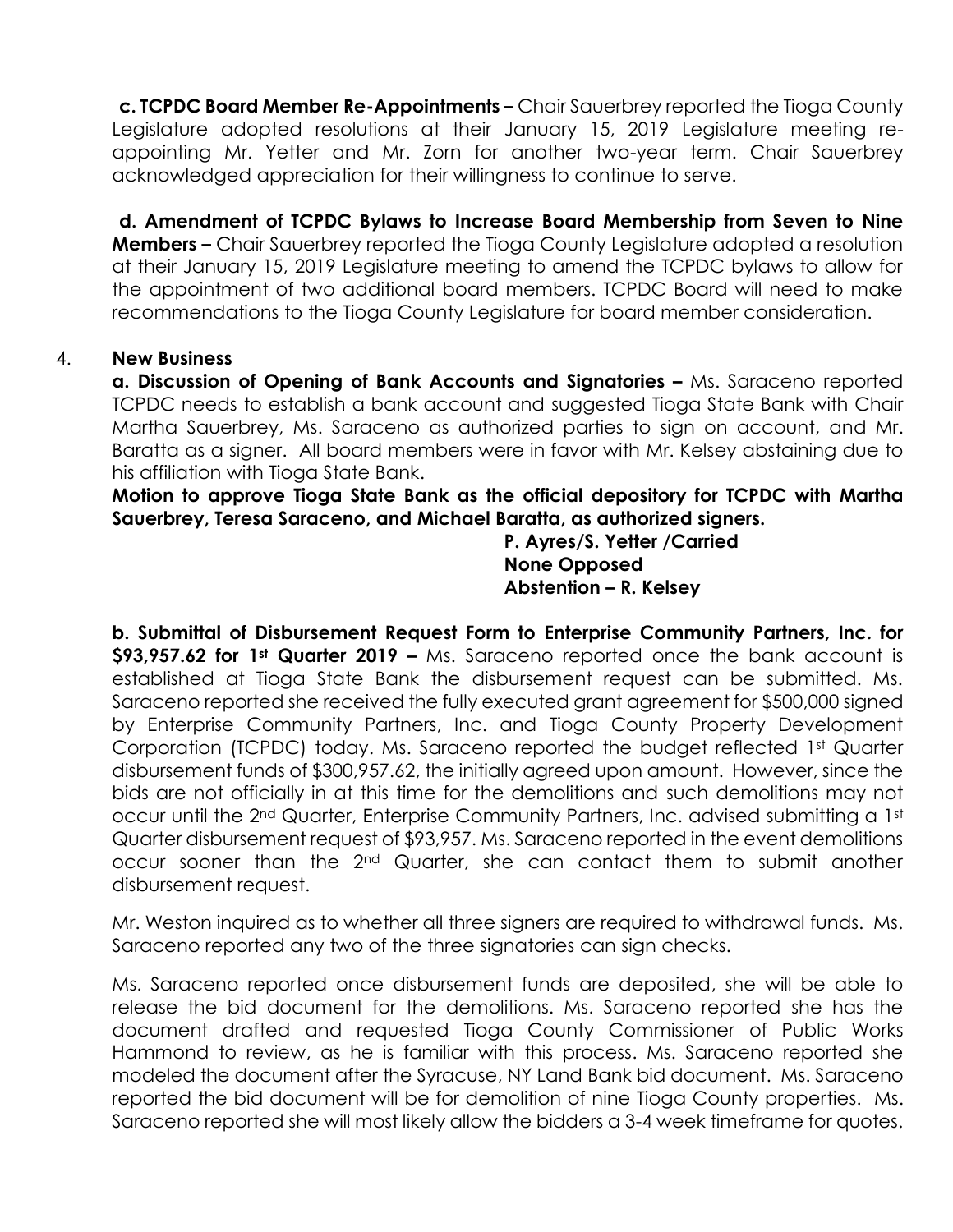**c. TCPDC Board Member Re-Appointments –** Chair Sauerbrey reported the Tioga County Legislature adopted resolutions at their January 15, 2019 Legislature meeting reappointing Mr. Yetter and Mr. Zorn for another two-year term. Chair Sauerbrey acknowledged appreciation for their willingness to continue to serve.

**d. Amendment of TCPDC Bylaws to Increase Board Membership from Seven to Nine Members –** Chair Sauerbrey reported the Tioga County Legislature adopted a resolution at their January 15, 2019 Legislature meeting to amend the TCPDC bylaws to allow for the appointment of two additional board members. TCPDC Board will need to make recommendations to the Tioga County Legislature for board member consideration.

# 4. **New Business**

**a. Discussion of Opening of Bank Accounts and Signatories –** Ms. Saraceno reported TCPDC needs to establish a bank account and suggested Tioga State Bank with Chair Martha Sauerbrey, Ms. Saraceno as authorized parties to sign on account, and Mr. Baratta as a signer. All board members were in favor with Mr. Kelsey abstaining due to his affiliation with Tioga State Bank.

**Motion to approve Tioga State Bank as the official depository for TCPDC with Martha Sauerbrey, Teresa Saraceno, and Michael Baratta, as authorized signers.** 

> **P. Ayres/S. Yetter /Carried None Opposed Abstention – R. Kelsey**

**b. Submittal of Disbursement Request Form to Enterprise Community Partners, Inc. for \$93,957.62 for 1st Quarter 2019 –** Ms. Saraceno reported once the bank account is established at Tioga State Bank the disbursement request can be submitted. Ms. Saraceno reported she received the fully executed grant agreement for \$500,000 signed by Enterprise Community Partners, Inc. and Tioga County Property Development Corporation (TCPDC) today. Ms. Saraceno reported the budget reflected 1st Quarter disbursement funds of \$300,957.62, the initially agreed upon amount. However, since the bids are not officially in at this time for the demolitions and such demolitions may not occur until the 2<sup>nd</sup> Quarter, Enterprise Community Partners, Inc. advised submitting a 1st Quarter disbursement request of \$93,957. Ms. Saraceno reported in the event demolitions occur sooner than the 2nd Quarter, she can contact them to submit another disbursement request.

Mr. Weston inquired as to whether all three signers are required to withdrawal funds. Ms. Saraceno reported any two of the three signatories can sign checks.

Ms. Saraceno reported once disbursement funds are deposited, she will be able to release the bid document for the demolitions. Ms. Saraceno reported she has the document drafted and requested Tioga County Commissioner of Public Works Hammond to review, as he is familiar with this process. Ms. Saraceno reported she modeled the document after the Syracuse, NY Land Bank bid document. Ms. Saraceno reported the bid document will be for demolition of nine Tioga County properties. Ms. Saraceno reported she will most likely allow the bidders a 3-4 week timeframe for quotes.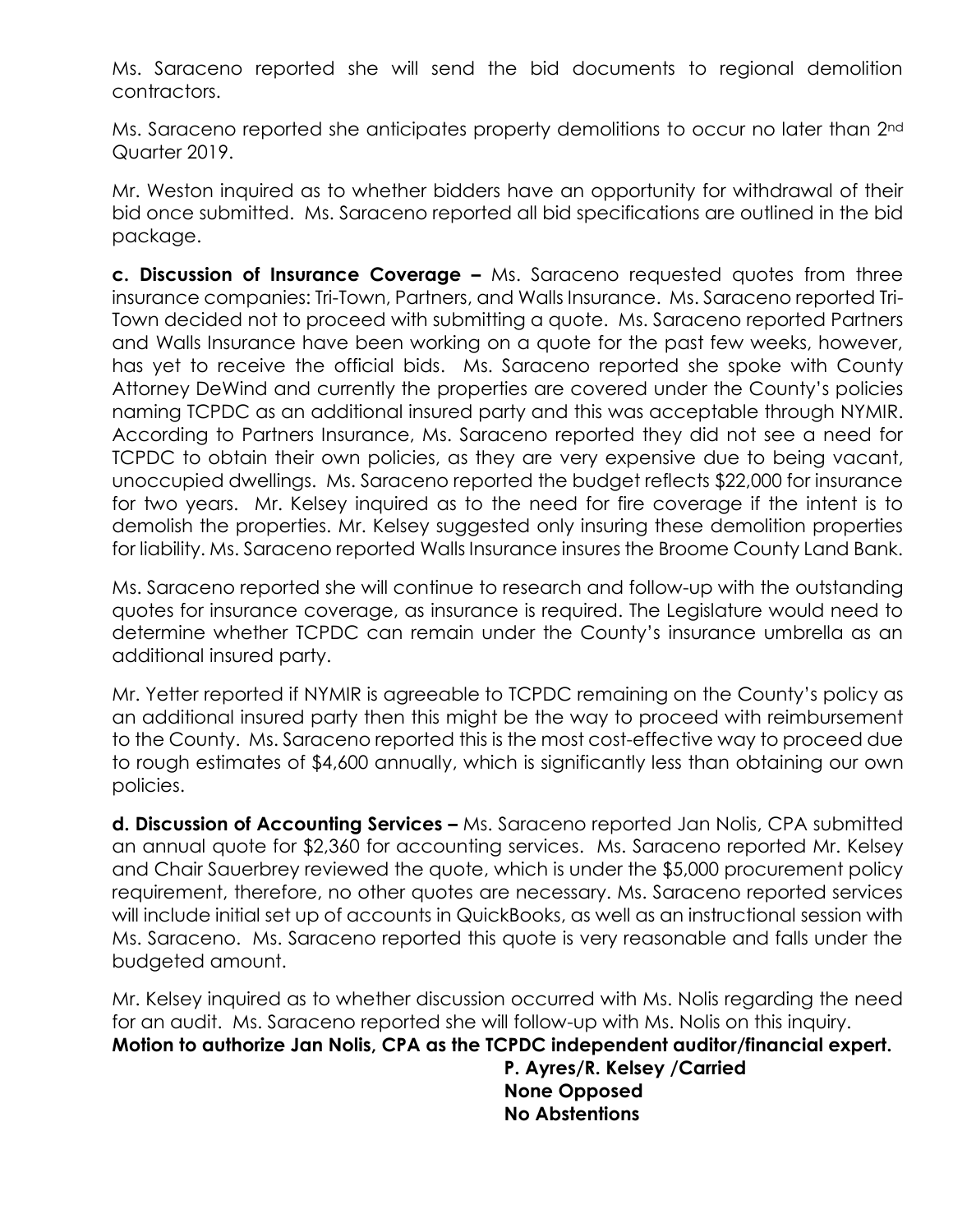Ms. Saraceno reported she will send the bid documents to regional demolition contractors.

Ms. Saraceno reported she anticipates property demolitions to occur no later than 2<sup>nd</sup> Quarter 2019.

Mr. Weston inquired as to whether bidders have an opportunity for withdrawal of their bid once submitted. Ms. Saraceno reported all bid specifications are outlined in the bid package.

**c. Discussion of Insurance Coverage –** Ms. Saraceno requested quotes from three insurance companies: Tri-Town, Partners, and Walls Insurance. Ms. Saraceno reported Tri-Town decided not to proceed with submitting a quote. Ms. Saraceno reported Partners and Walls Insurance have been working on a quote for the past few weeks, however, has yet to receive the official bids. Ms. Saraceno reported she spoke with County Attorney DeWind and currently the properties are covered under the County's policies naming TCPDC as an additional insured party and this was acceptable through NYMIR. According to Partners Insurance, Ms. Saraceno reported they did not see a need for TCPDC to obtain their own policies, as they are very expensive due to being vacant, unoccupied dwellings. Ms. Saraceno reported the budget reflects \$22,000 for insurance for two years. Mr. Kelsey inquired as to the need for fire coverage if the intent is to demolish the properties. Mr. Kelsey suggested only insuring these demolition properties for liability. Ms. Saraceno reported Walls Insurance insures the Broome County Land Bank.

Ms. Saraceno reported she will continue to research and follow-up with the outstanding quotes for insurance coverage, as insurance is required. The Legislature would need to determine whether TCPDC can remain under the County's insurance umbrella as an additional insured party.

Mr. Yetter reported if NYMIR is agreeable to TCPDC remaining on the County's policy as an additional insured party then this might be the way to proceed with reimbursement to the County. Ms. Saraceno reported this is the most cost-effective way to proceed due to rough estimates of \$4,600 annually, which is significantly less than obtaining our own policies.

**d. Discussion of Accounting Services –** Ms. Saraceno reported Jan Nolis, CPA submitted an annual quote for \$2,360 for accounting services. Ms. Saraceno reported Mr. Kelsey and Chair Sauerbrey reviewed the quote, which is under the \$5,000 procurement policy requirement, therefore, no other quotes are necessary. Ms. Saraceno reported services will include initial set up of accounts in QuickBooks, as well as an instructional session with Ms. Saraceno. Ms. Saraceno reported this quote is very reasonable and falls under the budgeted amount.

Mr. Kelsey inquired as to whether discussion occurred with Ms. Nolis regarding the need for an audit. Ms. Saraceno reported she will follow-up with Ms. Nolis on this inquiry. **Motion to authorize Jan Nolis, CPA as the TCPDC independent auditor/financial expert.**

> **P. Ayres/R. Kelsey /Carried None Opposed No Abstentions**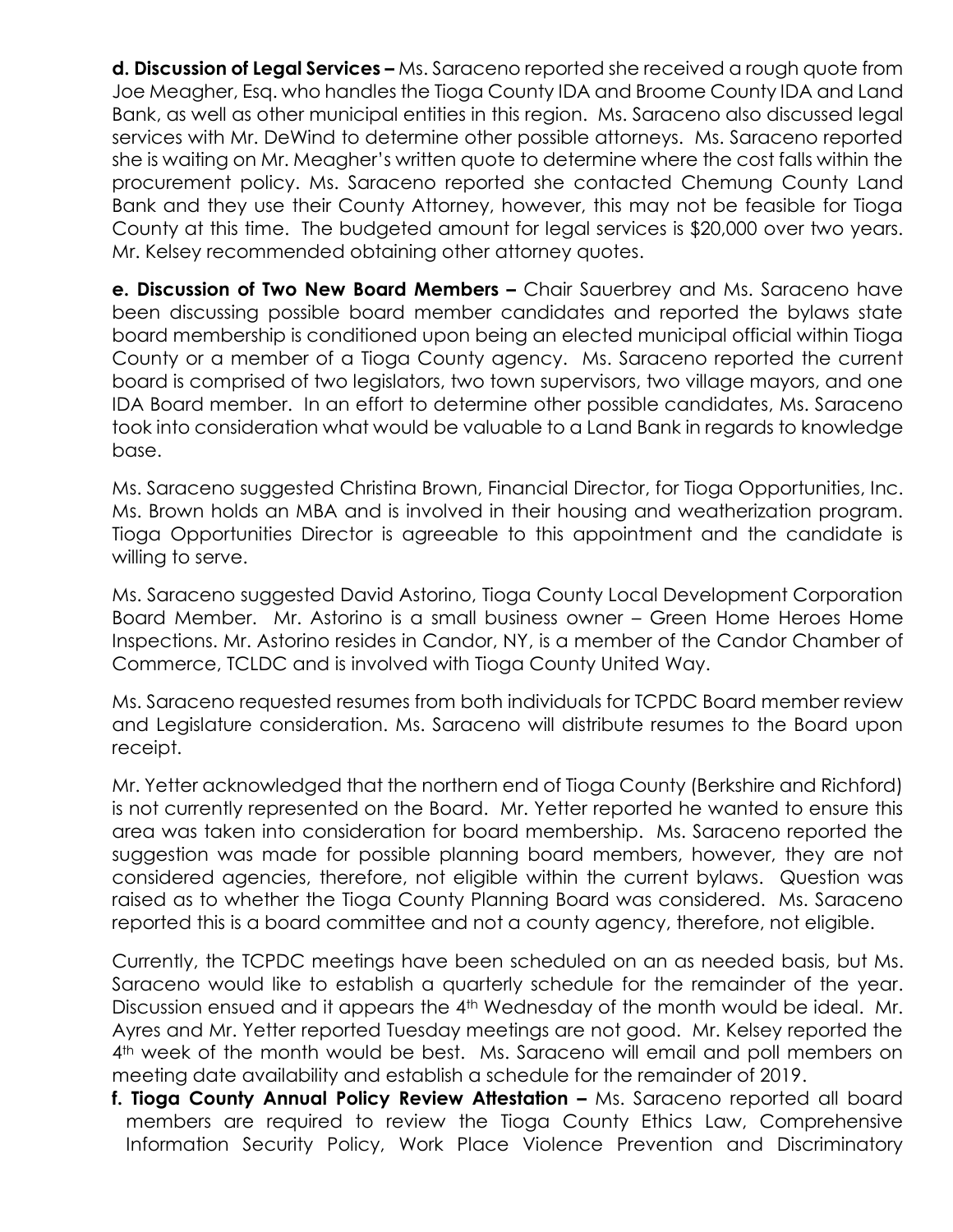**d. Discussion of Legal Services –** Ms. Saraceno reported she received a rough quote from Joe Meagher, Esq. who handles the Tioga County IDA and Broome County IDA and Land Bank, as well as other municipal entities in this region. Ms. Saraceno also discussed legal services with Mr. DeWind to determine other possible attorneys. Ms. Saraceno reported she is waiting on Mr. Meagher's written quote to determine where the cost falls within the procurement policy. Ms. Saraceno reported she contacted Chemung County Land Bank and they use their County Attorney, however, this may not be feasible for Tioga County at this time. The budgeted amount for legal services is \$20,000 over two years. Mr. Kelsey recommended obtaining other attorney quotes.

**e. Discussion of Two New Board Members –** Chair Sauerbrey and Ms. Saraceno have been discussing possible board member candidates and reported the bylaws state board membership is conditioned upon being an elected municipal official within Tioga County or a member of a Tioga County agency. Ms. Saraceno reported the current board is comprised of two legislators, two town supervisors, two village mayors, and one IDA Board member. In an effort to determine other possible candidates, Ms. Saraceno took into consideration what would be valuable to a Land Bank in regards to knowledge base.

Ms. Saraceno suggested Christina Brown, Financial Director, for Tioga Opportunities, Inc. Ms. Brown holds an MBA and is involved in their housing and weatherization program. Tioga Opportunities Director is agreeable to this appointment and the candidate is willing to serve.

Ms. Saraceno suggested David Astorino, Tioga County Local Development Corporation Board Member. Mr. Astorino is a small business owner – Green Home Heroes Home Inspections. Mr. Astorino resides in Candor, NY, is a member of the Candor Chamber of Commerce, TCLDC and is involved with Tioga County United Way.

Ms. Saraceno requested resumes from both individuals for TCPDC Board member review and Legislature consideration. Ms. Saraceno will distribute resumes to the Board upon receipt.

Mr. Yetter acknowledged that the northern end of Tioga County (Berkshire and Richford) is not currently represented on the Board. Mr. Yetter reported he wanted to ensure this area was taken into consideration for board membership. Ms. Saraceno reported the suggestion was made for possible planning board members, however, they are not considered agencies, therefore, not eligible within the current bylaws. Question was raised as to whether the Tioga County Planning Board was considered. Ms. Saraceno reported this is a board committee and not a county agency, therefore, not eligible.

Currently, the TCPDC meetings have been scheduled on an as needed basis, but Ms. Saraceno would like to establish a quarterly schedule for the remainder of the year. Discussion ensued and it appears the 4<sup>th</sup> Wednesday of the month would be ideal. Mr. Ayres and Mr. Yetter reported Tuesday meetings are not good. Mr. Kelsey reported the 4<sup>th</sup> week of the month would be best. Ms. Saraceno will email and poll members on meeting date availability and establish a schedule for the remainder of 2019.

**f. Tioga County Annual Policy Review Attestation - Ms. Saraceno reported all board** members are required to review the Tioga County Ethics Law, Comprehensive Information Security Policy, Work Place Violence Prevention and Discriminatory